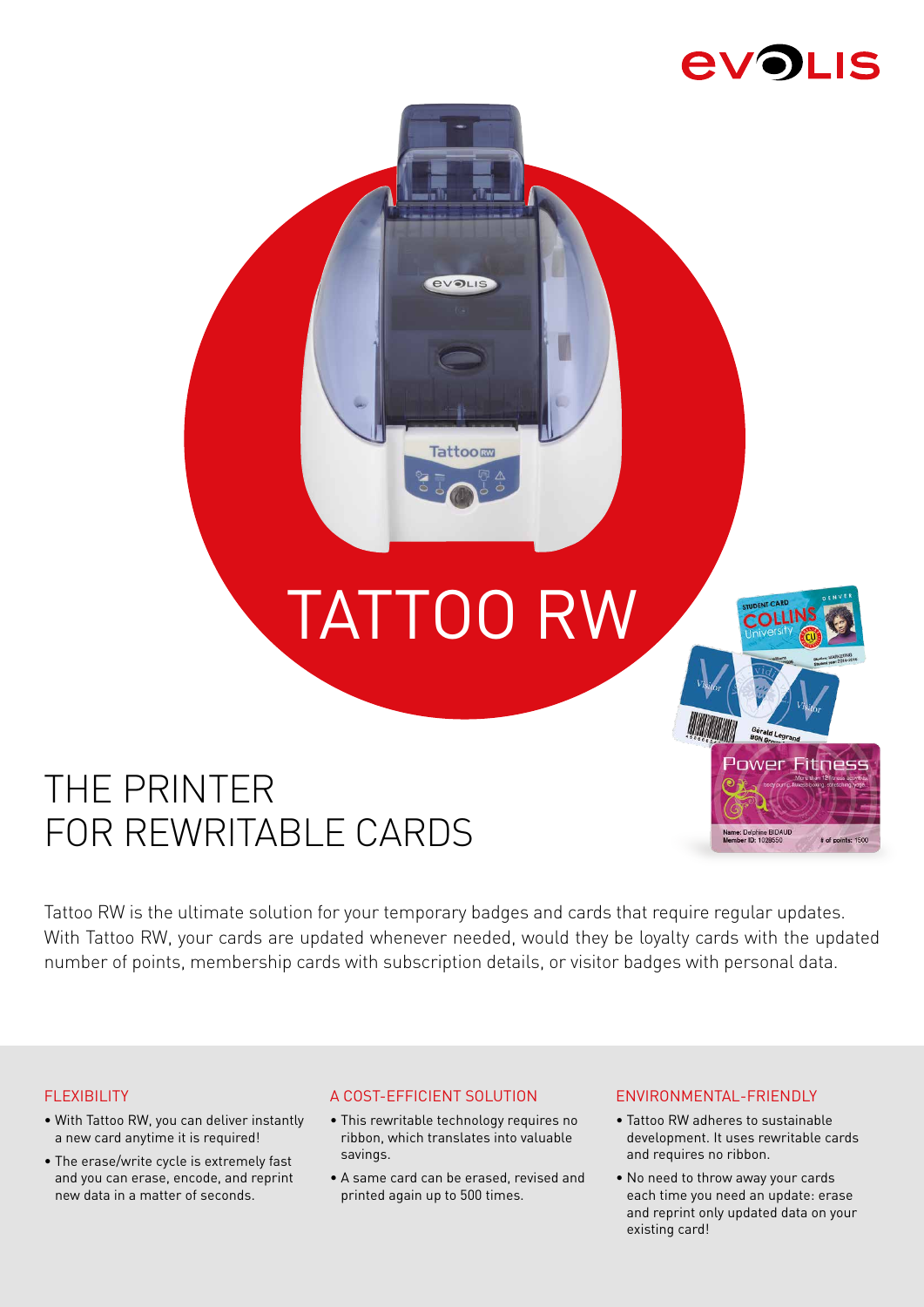# **EVOLIS**

# TATTOO RW

**EVOLIS** 

**Tattoom** 

# THE PRINTER FOR REWRITABLE CARDS

Tattoo RW is the ultimate solution for your temporary badges and cards that require regular updates. With Tattoo RW, your cards are updated whenever needed, would they be loyalty cards with the updated number of points, membership cards with subscription details, or visitor badges with personal data.

# **FLEXIBILITY**

- With Tattoo RW, you can deliver instantly a new card anytime it is required!
- The erase/write cycle is extremely fast and you can erase, encode, and reprint new data in a matter of seconds.

## A COST-EFFICIENT SOLUTION

- This rewritable technology requires no ribbon, which translates into valuable savings.
- A same card can be erased, revised and printed again up to 500 times.

## ENVIRONMENTAL-FRIENDLY

• Tattoo RW adheres to sustainable development. It uses rewritable cards and requires no ribbon.

**Power Fitness** 

# of points: 1500

elphine BIDAL<br>ID: 1028550

• No need to throw away your cards each time you need an update: erase and reprint only updated data on your existing card!